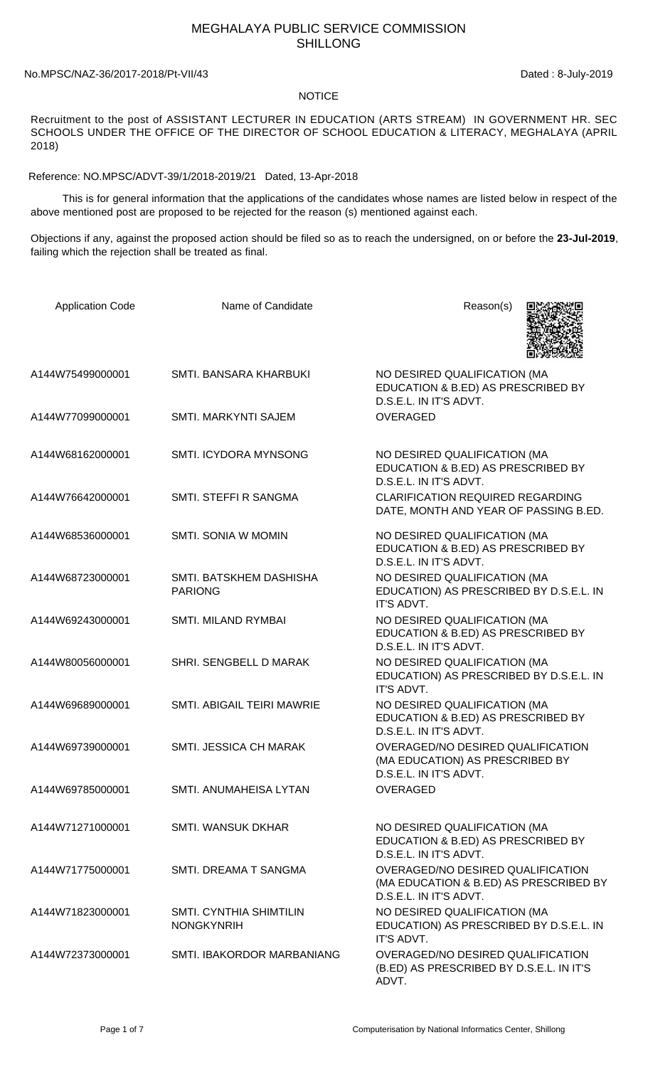## MEGHALAYA PUBLIC SERVICE COMMISSION SHILLONG

## No.MPSC/NAZ-36/2017-2018/Pt-VII/43 Dated : 8-July-2019

## NOTICE

Recruitment to the post of ASSISTANT LECTURER IN EDUCATION (ARTS STREAM) IN GOVERNMENT HR. SEC SCHOOLS UNDER THE OFFICE OF THE DIRECTOR OF SCHOOL EDUCATION & LITERACY, MEGHALAYA (APRIL 2018)

Reference: NO.MPSC/ADVT-39/1/2018-2019/21 Dated, 13-Apr-2018

 This is for general information that the applications of the candidates whose names are listed below in respect of the above mentioned post are proposed to be rejected for the reason (s) mentioned against each.

Objections if any, against the proposed action should be filed so as to reach the undersigned, on or before the **23-Jul-2019**, failing which the rejection shall be treated as final.

| <b>Application Code</b> | Name of Candidate                            | Reason(s)                                                                                             |
|-------------------------|----------------------------------------------|-------------------------------------------------------------------------------------------------------|
| A144W75499000001        | SMTI. BANSARA KHARBUKI                       | NO DESIRED QUALIFICATION (MA<br>EDUCATION & B.ED) AS PRESCRIBED BY<br>D.S.E.L. IN IT'S ADVT.          |
| A144W77099000001        | SMTI. MARKYNTI SAJEM                         | <b>OVERAGED</b>                                                                                       |
| A144W68162000001        | SMTI. ICYDORA MYNSONG                        | NO DESIRED QUALIFICATION (MA<br>EDUCATION & B.ED) AS PRESCRIBED BY<br>D.S.E.L. IN IT'S ADVT.          |
| A144W76642000001        | SMTI. STEFFI R SANGMA                        | <b>CLARIFICATION REQUIRED REGARDING</b><br>DATE, MONTH AND YEAR OF PASSING B.ED.                      |
| A144W68536000001        | <b>SMTI. SONIA W MOMIN</b>                   | NO DESIRED QUALIFICATION (MA<br>EDUCATION & B.ED) AS PRESCRIBED BY<br>D.S.E.L. IN IT'S ADVT.          |
| A144W68723000001        | SMTI. BATSKHEM DASHISHA<br><b>PARIONG</b>    | NO DESIRED QUALIFICATION (MA<br>EDUCATION) AS PRESCRIBED BY D.S.E.L. IN<br>IT'S ADVT.                 |
| A144W69243000001        | SMTI. MILAND RYMBAI                          | NO DESIRED QUALIFICATION (MA<br>EDUCATION & B.ED) AS PRESCRIBED BY<br>D.S.E.L. IN IT'S ADVT.          |
| A144W80056000001        | SHRI. SENGBELL D MARAK                       | NO DESIRED QUALIFICATION (MA<br>EDUCATION) AS PRESCRIBED BY D.S.E.L. IN<br>IT'S ADVT.                 |
| A144W69689000001        | SMTI. ABIGAIL TEIRI MAWRIE                   | NO DESIRED QUALIFICATION (MA<br>EDUCATION & B.ED) AS PRESCRIBED BY<br>D.S.E.L. IN IT'S ADVT.          |
| A144W69739000001        | <b>SMTI. JESSICA CH MARAK</b>                | OVERAGED/NO DESIRED QUALIFICATION<br>(MA EDUCATION) AS PRESCRIBED BY<br>D.S.E.L. IN IT'S ADVT.        |
| A144W69785000001        | SMTI. ANUMAHEISA LYTAN                       | <b>OVERAGED</b>                                                                                       |
| A144W71271000001        | <b>SMTI. WANSUK DKHAR</b>                    | NO DESIRED QUALIFICATION (MA<br>EDUCATION & B.ED) AS PRESCRIBED BY<br>D.S.E.L. IN IT'S ADVT.          |
| A144W71775000001        | SMTI. DREAMA T SANGMA                        | OVERAGED/NO DESIRED QUALIFICATION<br>(MA EDUCATION & B.ED) AS PRESCRIBED BY<br>D.S.E.L. IN IT'S ADVT. |
| A144W71823000001        | SMTI. CYNTHIA SHIMTILIN<br><b>NONGKYNRIH</b> | NO DESIRED QUALIFICATION (MA<br>EDUCATION) AS PRESCRIBED BY D.S.E.L. IN<br>IT'S ADVT.                 |
| A144W72373000001        | SMTI. IBAKORDOR MARBANIANG                   | OVERAGED/NO DESIRED QUALIFICATION<br>(B.ED) AS PRESCRIBED BY D.S.E.L. IN IT'S<br>ADVT.                |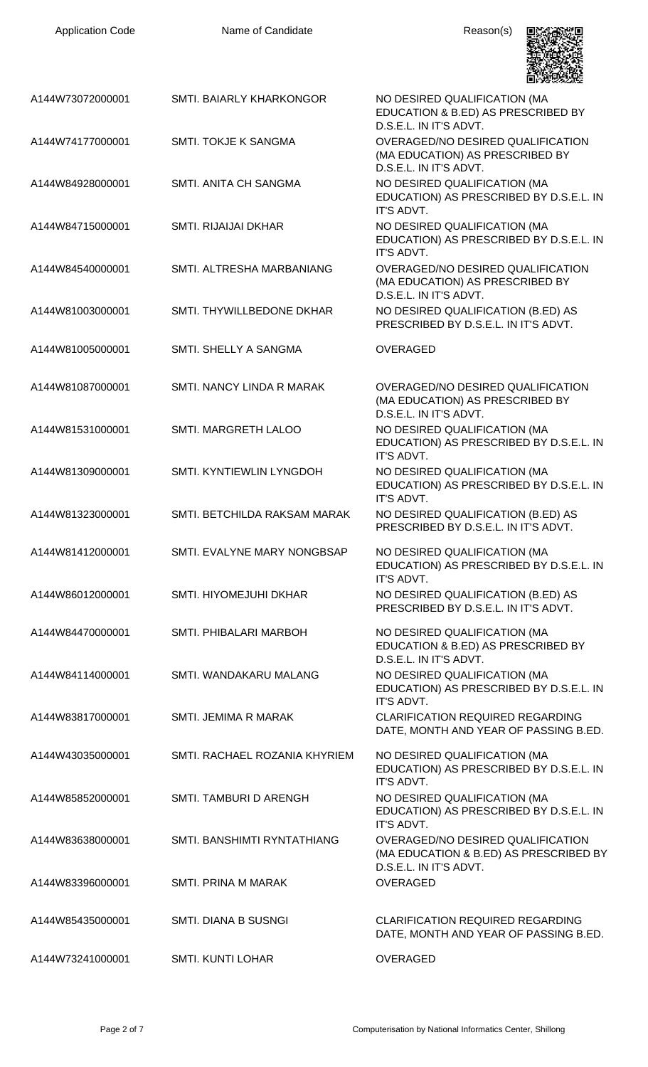| <b>Application Code</b> | Name of Candidate             | Reason(s)                                                                                                    |
|-------------------------|-------------------------------|--------------------------------------------------------------------------------------------------------------|
| A144W73072000001        | SMTI. BAIARLY KHARKONGOR      | NO DESIRED QUALIFICATION (MA<br>EDUCATION & B.ED) AS PRESCRIBED BY<br>D.S.E.L. IN IT'S ADVT.                 |
| A144W74177000001        | SMTI. TOKJE K SANGMA          | OVERAGED/NO DESIRED QUALIFICATION<br>(MA EDUCATION) AS PRESCRIBED BY<br>D.S.E.L. IN IT'S ADVT.               |
| A144W84928000001        | SMTI, ANITA CH SANGMA         | NO DESIRED QUALIFICATION (MA<br>EDUCATION) AS PRESCRIBED BY D.S.E.L. IN<br>IT'S ADVT.                        |
| A144W84715000001        | <b>SMTI. RIJAIJAI DKHAR</b>   | NO DESIRED QUALIFICATION (MA<br>EDUCATION) AS PRESCRIBED BY D.S.E.L. IN<br>IT'S ADVT.                        |
| A144W84540000001        | SMTI. ALTRESHA MARBANIANG     | OVERAGED/NO DESIRED QUALIFICATION<br>(MA EDUCATION) AS PRESCRIBED BY<br>D.S.E.L. IN IT'S ADVT.               |
| A144W81003000001        | SMTI. THYWILLBEDONE DKHAR     | NO DESIRED QUALIFICATION (B.ED) AS<br>PRESCRIBED BY D.S.E.L. IN IT'S ADVT.                                   |
| A144W81005000001        | SMTI. SHELLY A SANGMA         | <b>OVERAGED</b>                                                                                              |
| A144W81087000001        | SMTI. NANCY LINDA R MARAK     | OVERAGED/NO DESIRED QUALIFICATION<br>(MA EDUCATION) AS PRESCRIBED BY<br>D.S.E.L. IN IT'S ADVT.               |
| A144W81531000001        | SMTI. MARGRETH LALOO          | NO DESIRED QUALIFICATION (MA<br>EDUCATION) AS PRESCRIBED BY D.S.E.L. IN<br>IT'S ADVT.                        |
| A144W81309000001        | SMTI. KYNTIEWLIN LYNGDOH      | NO DESIRED QUALIFICATION (MA<br>EDUCATION) AS PRESCRIBED BY D.S.E.L. IN<br>IT'S ADVT.                        |
| A144W81323000001        | SMTI. BETCHILDA RAKSAM MARAK  | NO DESIRED QUALIFICATION (B.ED) AS<br>PRESCRIBED BY D.S.E.L. IN IT'S ADVT.                                   |
| A144W81412000001        | SMTI. EVALYNE MARY NONGBSAP   | NO DESIRED QUALIFICATION (MA<br>EDUCATION) AS PRESCRIBED BY D.S.E.L. IN<br>IT'S ADVT.                        |
| A144W86012000001        | SMTI. HIYOMEJUHI DKHAR        | NO DESIRED QUALIFICATION (B.ED) AS<br>PRESCRIBED BY D.S.E.L. IN IT'S ADVT.                                   |
| A144W84470000001        | SMTI. PHIBALARI MARBOH        | NO DESIRED QUALIFICATION (MA<br>EDUCATION & B.ED) AS PRESCRIBED BY<br>D.S.E.L. IN IT'S ADVT.                 |
| A144W84114000001        | SMTI. WANDAKARU MALANG        | NO DESIRED QUALIFICATION (MA<br>EDUCATION) AS PRESCRIBED BY D.S.E.L. IN<br>IT'S ADVT.                        |
| A144W83817000001        | SMTI. JEMIMA R MARAK          | <b>CLARIFICATION REQUIRED REGARDING</b><br>DATE, MONTH AND YEAR OF PASSING B.ED.                             |
| A144W43035000001        | SMTI. RACHAEL ROZANIA KHYRIEM | NO DESIRED QUALIFICATION (MA<br>EDUCATION) AS PRESCRIBED BY D.S.E.L. IN<br>IT'S ADVT.                        |
| A144W85852000001        | SMTI. TAMBURI D ARENGH        | NO DESIRED QUALIFICATION (MA<br>EDUCATION) AS PRESCRIBED BY D.S.E.L. IN<br>IT'S ADVT.                        |
| A144W83638000001        | SMTI. BANSHIMTI RYNTATHIANG   | <b>OVERAGED/NO DESIRED QUALIFICATION</b><br>(MA EDUCATION & B.ED) AS PRESCRIBED BY<br>D.S.E.L. IN IT'S ADVT. |
| A144W83396000001        | <b>SMTI. PRINA M MARAK</b>    | <b>OVERAGED</b>                                                                                              |
| A144W85435000001        | <b>SMTI. DIANA B SUSNGI</b>   | <b>CLARIFICATION REQUIRED REGARDING</b><br>DATE, MONTH AND YEAR OF PASSING B.ED.                             |
| A144W73241000001        | <b>SMTI. KUNTI LOHAR</b>      | <b>OVERAGED</b>                                                                                              |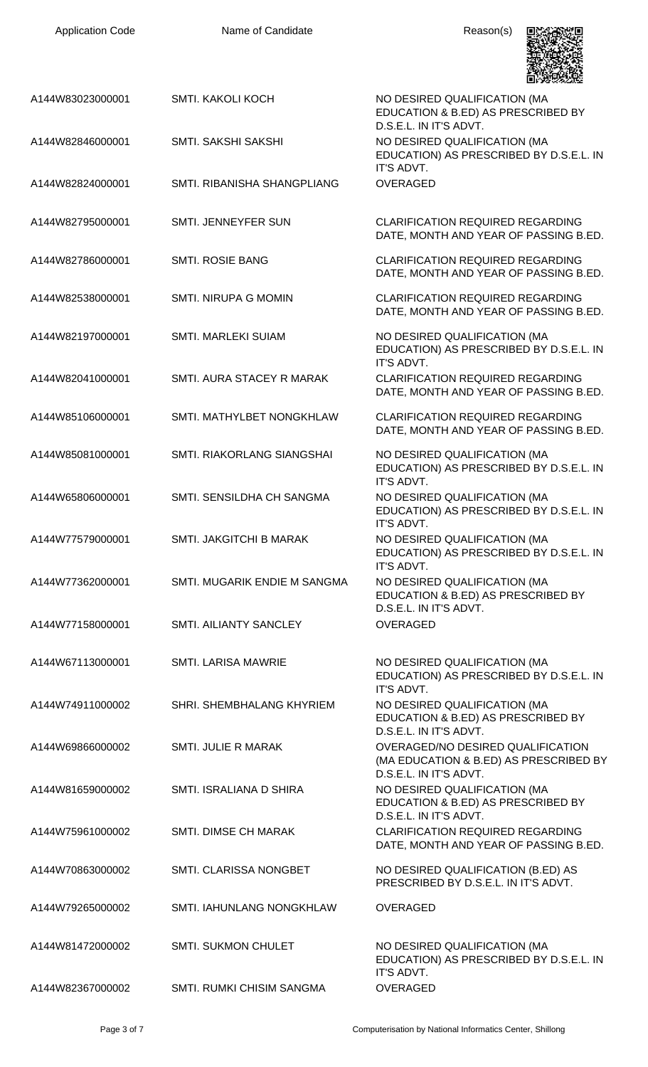

|                  |                                  | LIDA WALIOZ                                                                                           |
|------------------|----------------------------------|-------------------------------------------------------------------------------------------------------|
| A144W83023000001 | <b>SMTI. KAKOLI KOCH</b>         | NO DESIRED QUALIFICATION (MA<br>EDUCATION & B.ED) AS PRESCRIBED BY<br>D.S.E.L. IN IT'S ADVT.          |
| A144W82846000001 | SMTI. SAKSHI SAKSHI              | NO DESIRED QUALIFICATION (MA<br>EDUCATION) AS PRESCRIBED BY D.S.E.L. IN<br>IT'S ADVT.                 |
| A144W82824000001 | SMTI, RIBANISHA SHANGPLIANG      | <b>OVERAGED</b>                                                                                       |
| A144W82795000001 | <b>SMTI. JENNEYFER SUN</b>       | <b>CLARIFICATION REQUIRED REGARDING</b><br>DATE, MONTH AND YEAR OF PASSING B.ED.                      |
| A144W82786000001 | <b>SMTI. ROSIE BANG</b>          | <b>CLARIFICATION REQUIRED REGARDING</b><br>DATE, MONTH AND YEAR OF PASSING B.ED.                      |
| A144W82538000001 | <b>SMTI. NIRUPA G MOMIN</b>      | <b>CLARIFICATION REQUIRED REGARDING</b><br>DATE, MONTH AND YEAR OF PASSING B.ED.                      |
| A144W82197000001 | <b>SMTI. MARLEKI SUIAM</b>       | NO DESIRED QUALIFICATION (MA<br>EDUCATION) AS PRESCRIBED BY D.S.E.L. IN<br>IT'S ADVT.                 |
| A144W82041000001 | SMTI. AURA STACEY R MARAK        | <b>CLARIFICATION REQUIRED REGARDING</b><br>DATE, MONTH AND YEAR OF PASSING B.ED.                      |
| A144W85106000001 | SMTI. MATHYLBET NONGKHLAW        | <b>CLARIFICATION REQUIRED REGARDING</b><br>DATE, MONTH AND YEAR OF PASSING B.ED.                      |
| A144W85081000001 | SMTI. RIAKORLANG SIANGSHAI       | NO DESIRED QUALIFICATION (MA<br>EDUCATION) AS PRESCRIBED BY D.S.E.L. IN<br>IT'S ADVT.                 |
| A144W65806000001 | SMTI. SENSILDHA CH SANGMA        | NO DESIRED QUALIFICATION (MA<br>EDUCATION) AS PRESCRIBED BY D.S.E.L. IN<br>IT'S ADVT.                 |
| A144W77579000001 | SMTI. JAKGITCHI B MARAK          | NO DESIRED QUALIFICATION (MA<br>EDUCATION) AS PRESCRIBED BY D.S.E.L. IN<br>IT'S ADVT.                 |
| A144W77362000001 | SMTI. MUGARIK ENDIE M SANGMA     | NO DESIRED QUALIFICATION (MA<br>EDUCATION & B.ED) AS PRESCRIBED BY<br>D.S.E.L. IN IT'S ADVT.          |
| A144W77158000001 | SMTI. AILIANTY SANCLEY           | <b>OVERAGED</b>                                                                                       |
| A144W67113000001 | <b>SMTI. LARISA MAWRIE</b>       | NO DESIRED QUALIFICATION (MA<br>EDUCATION) AS PRESCRIBED BY D.S.E.L. IN<br>IT'S ADVT.                 |
| A144W74911000002 | SHRI. SHEMBHALANG KHYRIEM        | NO DESIRED QUALIFICATION (MA<br>EDUCATION & B.ED) AS PRESCRIBED BY<br>D.S.E.L. IN IT'S ADVT.          |
| A144W69866000002 | SMTI. JULIE R MARAK              | OVERAGED/NO DESIRED QUALIFICATION<br>(MA EDUCATION & B.ED) AS PRESCRIBED BY<br>D.S.E.L. IN IT'S ADVT. |
| A144W81659000002 | SMTI. ISRALIANA D SHIRA          | NO DESIRED QUALIFICATION (MA<br>EDUCATION & B.ED) AS PRESCRIBED BY<br>D.S.E.L. IN IT'S ADVT.          |
| A144W75961000002 | <b>SMTI. DIMSE CH MARAK</b>      | <b>CLARIFICATION REQUIRED REGARDING</b><br>DATE, MONTH AND YEAR OF PASSING B.ED.                      |
| A144W70863000002 | SMTI. CLARISSA NONGBET           | NO DESIRED QUALIFICATION (B.ED) AS<br>PRESCRIBED BY D.S.E.L. IN IT'S ADVT.                            |
| A144W79265000002 | SMTI. IAHUNLANG NONGKHLAW        | <b>OVERAGED</b>                                                                                       |
| A144W81472000002 | <b>SMTI. SUKMON CHULET</b>       | NO DESIRED QUALIFICATION (MA<br>EDUCATION) AS PRESCRIBED BY D.S.E.L. IN<br>IT'S ADVT.                 |
| A144W82367000002 | <b>SMTI. RUMKI CHISIM SANGMA</b> | <b>OVERAGED</b>                                                                                       |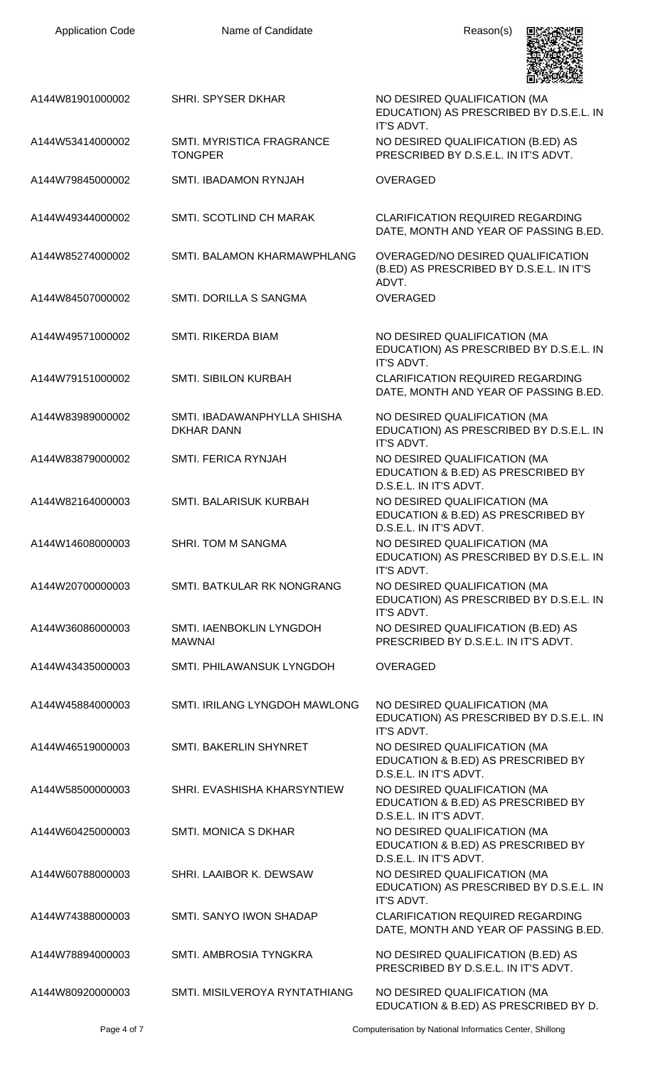| <b>Application Code</b> | Name of Candidate                                | Reason(s)                                                                                     |
|-------------------------|--------------------------------------------------|-----------------------------------------------------------------------------------------------|
| A144W81901000002        | <b>SHRI. SPYSER DKHAR</b>                        | NO DESIRED QUALIFICATION (MA<br>EDUCATION) AS PRESCRIBED BY D.S.E.L. IN<br>IT'S ADVT.         |
| A144W53414000002        | SMTI. MYRISTICA FRAGRANCE<br><b>TONGPER</b>      | NO DESIRED QUALIFICATION (B.ED) AS<br>PRESCRIBED BY D.S.E.L. IN IT'S ADVT.                    |
| A144W79845000002        | SMTI. IBADAMON RYNJAH                            | OVERAGED                                                                                      |
| A144W49344000002        | SMTI. SCOTLIND CH MARAK                          | <b>CLARIFICATION REQUIRED REGARDING</b><br>DATE, MONTH AND YEAR OF PASSING B.ED.              |
| A144W85274000002        | SMTI. BALAMON KHARMAWPHLANG                      | <b>OVERAGED/NO DESIRED QUALIFICATION</b><br>(B.ED) AS PRESCRIBED BY D.S.E.L. IN IT'S<br>ADVT. |
| A144W84507000002        | SMTI. DORILLA S SANGMA                           | OVERAGED                                                                                      |
| A144W49571000002        | SMTI. RIKERDA BIAM                               | NO DESIRED QUALIFICATION (MA<br>EDUCATION) AS PRESCRIBED BY D.S.E.L. IN<br>IT'S ADVT.         |
| A144W79151000002        | <b>SMTI. SIBILON KURBAH</b>                      | <b>CLARIFICATION REQUIRED REGARDING</b><br>DATE, MONTH AND YEAR OF PASSING B.ED.              |
| A144W83989000002        | SMTI. IBADAWANPHYLLA SHISHA<br><b>DKHAR DANN</b> | NO DESIRED QUALIFICATION (MA<br>EDUCATION) AS PRESCRIBED BY D.S.E.L. IN<br>IT'S ADVT.         |
| A144W83879000002        | SMTI. FERICA RYNJAH                              | NO DESIRED QUALIFICATION (MA<br>EDUCATION & B.ED) AS PRESCRIBED BY<br>D.S.E.L. IN IT'S ADVT.  |
| A144W82164000003        | SMTI. BALARISUK KURBAH                           | NO DESIRED QUALIFICATION (MA<br>EDUCATION & B.ED) AS PRESCRIBED BY<br>D.S.E.L. IN IT'S ADVT.  |
| A144W14608000003        | <b>SHRI. TOM M SANGMA</b>                        | NO DESIRED QUALIFICATION (MA<br>EDUCATION) AS PRESCRIBED BY D.S.E.L. IN<br>IT'S ADVT.         |
| A144W20700000003        | SMTI. BATKULAR RK NONGRANG                       | NO DESIRED QUALIFICATION (MA<br>EDUCATION) AS PRESCRIBED BY D.S.E.L. IN<br>IT'S ADVT.         |
| A144W36086000003        | SMTI. IAENBOKLIN LYNGDOH<br><b>MAWNAI</b>        | NO DESIRED QUALIFICATION (B.ED) AS<br>PRESCRIBED BY D.S.E.L. IN IT'S ADVT.                    |
| A144W43435000003        | SMTI. PHILAWANSUK LYNGDOH                        | <b>OVERAGED</b>                                                                               |
| A144W45884000003        | SMTI. IRILANG LYNGDOH MAWLONG                    | NO DESIRED QUALIFICATION (MA<br>EDUCATION) AS PRESCRIBED BY D.S.E.L. IN<br>IT'S ADVT.         |
| A144W46519000003        | SMTI. BAKERLIN SHYNRET                           | NO DESIRED QUALIFICATION (MA<br>EDUCATION & B.ED) AS PRESCRIBED BY<br>D.S.E.L. IN IT'S ADVT.  |
| A144W58500000003        | SHRI. EVASHISHA KHARSYNTIEW                      | NO DESIRED QUALIFICATION (MA<br>EDUCATION & B.ED) AS PRESCRIBED BY<br>D.S.E.L. IN IT'S ADVT.  |
| A144W60425000003        | <b>SMTI. MONICA S DKHAR</b>                      | NO DESIRED QUALIFICATION (MA<br>EDUCATION & B.ED) AS PRESCRIBED BY<br>D.S.E.L. IN IT'S ADVT.  |
| A144W60788000003        | SHRI. LAAIBOR K. DEWSAW                          | NO DESIRED QUALIFICATION (MA<br>EDUCATION) AS PRESCRIBED BY D.S.E.L. IN<br>IT'S ADVT.         |
| A144W74388000003        | SMTI, SANYO IWON SHADAP                          | <b>CLARIFICATION REQUIRED REGARDING</b><br>DATE, MONTH AND YEAR OF PASSING B.ED.              |
| A144W78894000003        | SMTI. AMBROSIA TYNGKRA                           | NO DESIRED QUALIFICATION (B.ED) AS<br>PRESCRIBED BY D.S.E.L. IN IT'S ADVT.                    |
| A144W80920000003        | SMTI. MISILVEROYA RYNTATHIANG                    | NO DESIRED QUALIFICATION (MA<br>EDUCATION & B.ED) AS PRESCRIBED BY D.                         |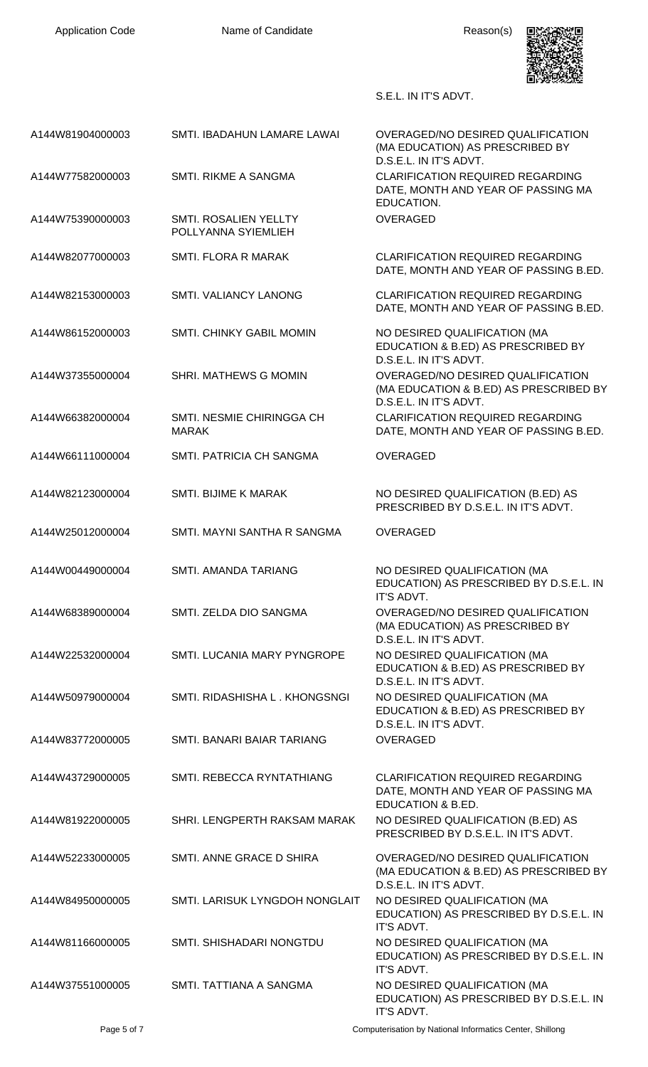

## S.E.L. IN IT'S ADVT.

| A144W81904000003 | SMTI. IBADAHUN LAMARE LAWAI                  | OVERAGED/NO DESIRED QUALIFICATION<br>(MA EDUCATION) AS PRESCRIBED BY<br>D.S.E.L. IN IT'S ADVT.        |
|------------------|----------------------------------------------|-------------------------------------------------------------------------------------------------------|
| A144W77582000003 | SMTI. RIKME A SANGMA                         | <b>CLARIFICATION REQUIRED REGARDING</b><br>DATE, MONTH AND YEAR OF PASSING MA<br>EDUCATION.           |
| A144W75390000003 | SMTI. ROSALIEN YELLTY<br>POLLYANNA SYIEMLIEH | <b>OVERAGED</b>                                                                                       |
| A144W82077000003 | <b>SMTI. FLORA R MARAK</b>                   | <b>CLARIFICATION REQUIRED REGARDING</b><br>DATE, MONTH AND YEAR OF PASSING B.ED.                      |
| A144W82153000003 | <b>SMTI. VALIANCY LANONG</b>                 | <b>CLARIFICATION REQUIRED REGARDING</b><br>DATE, MONTH AND YEAR OF PASSING B.ED.                      |
| A144W86152000003 | <b>SMTI. CHINKY GABIL MOMIN</b>              | NO DESIRED QUALIFICATION (MA<br>EDUCATION & B.ED) AS PRESCRIBED BY<br>D.S.E.L. IN IT'S ADVT.          |
| A144W37355000004 | SHRI. MATHEWS G MOMIN                        | OVERAGED/NO DESIRED QUALIFICATION<br>(MA EDUCATION & B.ED) AS PRESCRIBED BY<br>D.S.E.L. IN IT'S ADVT. |
| A144W66382000004 | SMTI. NESMIE CHIRINGGA CH<br><b>MARAK</b>    | <b>CLARIFICATION REQUIRED REGARDING</b><br>DATE, MONTH AND YEAR OF PASSING B.ED.                      |
| A144W66111000004 | SMTI. PATRICIA CH SANGMA                     | <b>OVERAGED</b>                                                                                       |
| A144W82123000004 | <b>SMTI. BIJIME K MARAK</b>                  | NO DESIRED QUALIFICATION (B.ED) AS<br>PRESCRIBED BY D.S.E.L. IN IT'S ADVT.                            |
| A144W25012000004 | SMTI, MAYNI SANTHA R SANGMA                  | <b>OVERAGED</b>                                                                                       |
| A144W00449000004 | <b>SMTI. AMANDA TARIANG</b>                  | NO DESIRED QUALIFICATION (MA<br>EDUCATION) AS PRESCRIBED BY D.S.E.L. IN<br>IT'S ADVT.                 |
| A144W68389000004 | SMTI. ZELDA DIO SANGMA                       | OVERAGED/NO DESIRED QUALIFICATION<br>(MA EDUCATION) AS PRESCRIBED BY<br>D.S.E.L. IN IT'S ADVT.        |
| A144W22532000004 | SMTI. LUCANIA MARY PYNGROPE                  | NO DESIRED QUALIFICATION (MA<br>EDUCATION & B.ED) AS PRESCRIBED BY<br>D.S.E.L. IN IT'S ADVT.          |
| A144W50979000004 | SMTI, RIDASHISHA L. KHONGSNGI                | NO DESIRED QUALIFICATION (MA<br>EDUCATION & B.ED) AS PRESCRIBED BY<br>D.S.E.L. IN IT'S ADVT.          |
| A144W83772000005 | SMTI. BANARI BAIAR TARIANG                   | <b>OVERAGED</b>                                                                                       |
| A144W43729000005 | SMTI. REBECCA RYNTATHIANG                    | <b>CLARIFICATION REQUIRED REGARDING</b><br>DATE, MONTH AND YEAR OF PASSING MA<br>EDUCATION & B.ED.    |
| A144W81922000005 | SHRI. LENGPERTH RAKSAM MARAK                 | NO DESIRED QUALIFICATION (B.ED) AS<br>PRESCRIBED BY D.S.E.L. IN IT'S ADVT.                            |
| A144W52233000005 | SMTI, ANNE GRACE D SHIRA                     | OVERAGED/NO DESIRED QUALIFICATION<br>(MA EDUCATION & B.ED) AS PRESCRIBED BY<br>D.S.E.L. IN IT'S ADVT. |
| A144W84950000005 | SMTI. LARISUK LYNGDOH NONGLAIT               | NO DESIRED QUALIFICATION (MA<br>EDUCATION) AS PRESCRIBED BY D.S.E.L. IN<br>IT'S ADVT.                 |
| A144W81166000005 | SMTI, SHISHADARI NONGTDU                     | NO DESIRED QUALIFICATION (MA<br>EDUCATION) AS PRESCRIBED BY D.S.E.L. IN<br>IT'S ADVT.                 |
| A144W37551000005 | SMTI. TATTIANA A SANGMA                      | NO DESIRED QUALIFICATION (MA<br>EDUCATION) AS PRESCRIBED BY D.S.E.L. IN<br>IT'S ADVT.                 |

Page 5 of 7 Computerisation by National Informatics Center, Shillong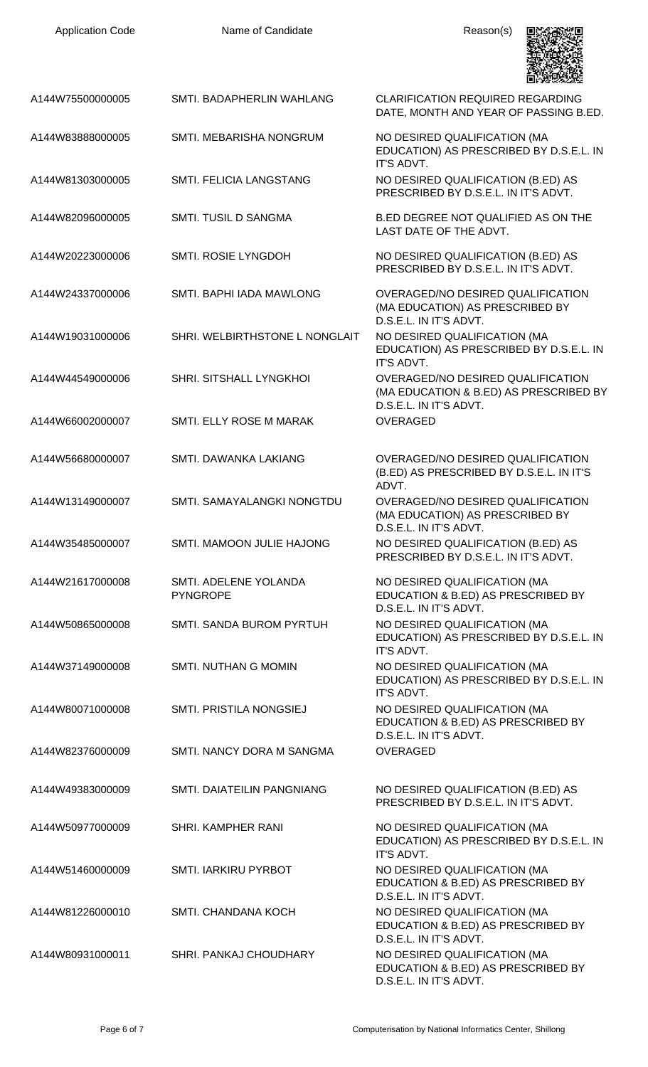| <b>Application Code</b> | Name of Candidate                        | Reason(s)                                                                                             |
|-------------------------|------------------------------------------|-------------------------------------------------------------------------------------------------------|
| A144W75500000005        | SMTI. BADAPHERLIN WAHLANG                | <b>CLARIFICATION REQUIRED REGARDING</b><br>DATE, MONTH AND YEAR OF PASSING B.ED.                      |
| A144W83888000005        | SMTI. MEBARISHA NONGRUM                  | NO DESIRED QUALIFICATION (MA<br>EDUCATION) AS PRESCRIBED BY D.S.E.L. IN<br>IT'S ADVT.                 |
| A144W81303000005        | SMTI. FELICIA LANGSTANG                  | NO DESIRED QUALIFICATION (B.ED) AS<br>PRESCRIBED BY D.S.E.L. IN IT'S ADVT.                            |
| A144W82096000005        | SMTI. TUSIL D SANGMA                     | B.ED DEGREE NOT QUALIFIED AS ON THE<br>LAST DATE OF THE ADVT.                                         |
| A144W20223000006        | SMTI. ROSIE LYNGDOH                      | NO DESIRED QUALIFICATION (B.ED) AS<br>PRESCRIBED BY D.S.E.L. IN IT'S ADVT.                            |
| A144W24337000006        | SMTI. BAPHI IADA MAWLONG                 | OVERAGED/NO DESIRED QUALIFICATION<br>(MA EDUCATION) AS PRESCRIBED BY<br>D.S.E.L. IN IT'S ADVT.        |
| A144W19031000006        | SHRI. WELBIRTHSTONE L NONGLAIT           | NO DESIRED QUALIFICATION (MA<br>EDUCATION) AS PRESCRIBED BY D.S.E.L. IN<br>IT'S ADVT.                 |
| A144W44549000006        | SHRI. SITSHALL LYNGKHOI                  | OVERAGED/NO DESIRED QUALIFICATION<br>(MA EDUCATION & B.ED) AS PRESCRIBED BY<br>D.S.E.L. IN IT'S ADVT. |
| A144W66002000007        | SMTI. ELLY ROSE M MARAK                  | <b>OVERAGED</b>                                                                                       |
| A144W56680000007        | SMTI. DAWANKA LAKIANG                    | OVERAGED/NO DESIRED QUALIFICATION<br>(B.ED) AS PRESCRIBED BY D.S.E.L. IN IT'S<br>ADVT.                |
| A144W13149000007        | SMTI. SAMAYALANGKI NONGTDU               | OVERAGED/NO DESIRED QUALIFICATION<br>(MA EDUCATION) AS PRESCRIBED BY<br>D.S.E.L. IN IT'S ADVT.        |
| A144W35485000007        | SMTI. MAMOON JULIE HAJONG                | NO DESIRED QUALIFICATION (B.ED) AS<br>PRESCRIBED BY D.S.E.L. IN IT'S ADVT.                            |
| A144W21617000008        | SMTI. ADELENE YOLANDA<br><b>PYNGROPE</b> | NO DESIRED QUALIFICATION (MA<br>EDUCATION & B.ED) AS PRESCRIBED BY<br>D.S.E.L. IN IT'S ADVT.          |
| A144W50865000008        | SMTI. SANDA BUROM PYRTUH                 | NO DESIRED QUALIFICATION (MA<br>EDUCATION) AS PRESCRIBED BY D.S.E.L. IN<br>IT'S ADVT.                 |
| A144W37149000008        | <b>SMTI. NUTHAN G MOMIN</b>              | NO DESIRED QUALIFICATION (MA<br>EDUCATION) AS PRESCRIBED BY D.S.E.L. IN<br>IT'S ADVT.                 |
| A144W80071000008        | SMTI. PRISTILA NONGSIEJ                  | NO DESIRED QUALIFICATION (MA<br>EDUCATION & B.ED) AS PRESCRIBED BY<br>D.S.E.L. IN IT'S ADVT.          |
| A144W82376000009        | SMTI. NANCY DORA M SANGMA                | OVERAGED                                                                                              |
| A144W49383000009        | SMTI. DAIATEILIN PANGNIANG               | NO DESIRED QUALIFICATION (B.ED) AS<br>PRESCRIBED BY D.S.E.L. IN IT'S ADVT.                            |
| A144W50977000009        | SHRI. KAMPHER RANI                       | NO DESIRED QUALIFICATION (MA<br>EDUCATION) AS PRESCRIBED BY D.S.E.L. IN<br>IT'S ADVT.                 |
| A144W51460000009        | SMTI. IARKIRU PYRBOT                     | NO DESIRED QUALIFICATION (MA<br>EDUCATION & B.ED) AS PRESCRIBED BY<br>D.S.E.L. IN IT'S ADVT.          |
| A144W81226000010        | <b>SMTI. CHANDANA KOCH</b>               | NO DESIRED QUALIFICATION (MA<br>EDUCATION & B.ED) AS PRESCRIBED BY<br>D.S.E.L. IN IT'S ADVT.          |
| A144W80931000011        | SHRI. PANKAJ CHOUDHARY                   | NO DESIRED QUALIFICATION (MA<br>EDUCATION & B.ED) AS PRESCRIBED BY<br>D.S.E.L. IN IT'S ADVT.          |

Application Code **Name of Candidate Name of Candidate** Reason(s)